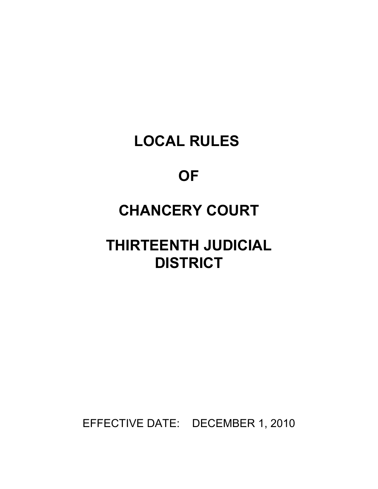# **LOCAL RULES**

# **OF**

# **CHANCERY COURT**

# **THIRTEENTH JUDICIAL DISTRICT**

EFFECTIVE DATE: DECEMBER 1, 2010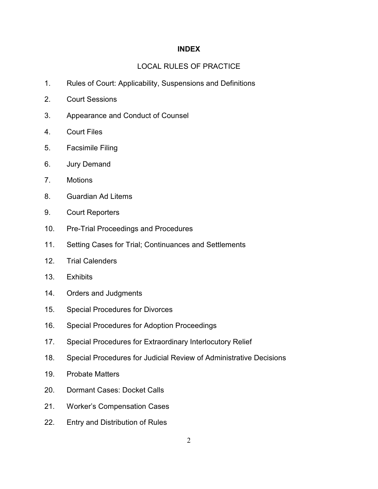## **INDEX**

## LOCAL RULES OF PRACTICE

- 1. Rules of Court: Applicability, Suspensions and Definitions
- 2. Court Sessions
- 3. Appearance and Conduct of Counsel
- 4. Court Files
- 5. Facsimile Filing
- 6. Jury Demand
- 7. Motions
- 8. Guardian Ad Litems
- 9. Court Reporters
- 10. Pre-Trial Proceedings and Procedures
- 11. Setting Cases for Trial; Continuances and Settlements
- 12. Trial Calenders
- 13. Exhibits
- 14. Orders and Judgments
- 15. Special Procedures for Divorces
- 16. Special Procedures for Adoption Proceedings
- 17. Special Procedures for Extraordinary Interlocutory Relief
- 18. Special Procedures for Judicial Review of Administrative Decisions
- 19. Probate Matters
- 20. Dormant Cases: Docket Calls
- 21. Worker's Compensation Cases
- 22. Entry and Distribution of Rules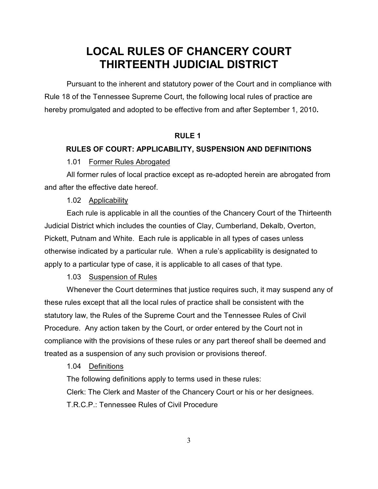# **LOCAL RULES OF CHANCERY COURT THIRTEENTH JUDICIAL DISTRICT**

Pursuant to the inherent and statutory power of the Court and in compliance with Rule 18 of the Tennessee Supreme Court, the following local rules of practice are hereby promulgated and adopted to be effective from and after September 1, 2010**.**

## **RULE 1**

#### **RULES OF COURT: APPLICABILITY, SUSPENSION AND DEFINITIONS**

#### 1.01 Former Rules Abrogated

All former rules of local practice except as re-adopted herein are abrogated from and after the effective date hereof.

1.02 Applicability

Each rule is applicable in all the counties of the Chancery Court of the Thirteenth Judicial District which includes the counties of Clay, Cumberland, Dekalb, Overton, Pickett, Putnam and White. Each rule is applicable in all types of cases unless otherwise indicated by a particular rule. When a rule's applicability is designated to apply to a particular type of case, it is applicable to all cases of that type.

1.03 Suspension of Rules

Whenever the Court determines that justice requires such, it may suspend any of these rules except that all the local rules of practice shall be consistent with the statutory law, the Rules of the Supreme Court and the Tennessee Rules of Civil Procedure. Any action taken by the Court, or order entered by the Court not in compliance with the provisions of these rules or any part thereof shall be deemed and treated as a suspension of any such provision or provisions thereof.

## 1.04 Definitions

The following definitions apply to terms used in these rules:

Clerk: The Clerk and Master of the Chancery Court or his or her designees.

T.R.C.P.: Tennessee Rules of Civil Procedure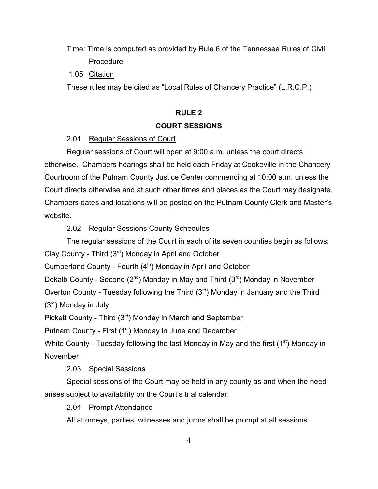Time: Time is computed as provided by Rule 6 of the Tennessee Rules of Civil **Procedure** 

1.05 Citation

These rules may be cited as "Local Rules of Chancery Practice" (L.R.C.P.)

## **RULE 2**

## **COURT SESSIONS**

## 2.01 Regular Sessions of Court

Regular sessions of Court will open at 9:00 a.m. unless the court directs otherwise. Chambers hearings shall be held each Friday at Cookeville in the Chancery Courtroom of the Putnam County Justice Center commencing at 10:00 a.m. unless the Court directs otherwise and at such other times and places as the Court may designate. Chambers dates and locations will be posted on the Putnam County Clerk and Master's website.

## 2.02 Regular Sessions County Schedules

The regular sessions of the Court in each of its seven counties begin as follows:

Clay County - Third  $(3<sup>rd</sup>)$  Monday in April and October

Cumberland County - Fourth  $(4<sup>th</sup>)$  Monday in April and October

Dekalb County - Second ( $2^{nd}$ ) Monday in May and Third ( $3^{rd}$ ) Monday in November

Overton County - Tuesday following the Third  $(3<sup>rd</sup>)$  Monday in January and the Third  $(3<sup>rd</sup>)$  Monday in July

Pickett County - Third  $(3<sup>rd</sup>)$  Monday in March and September

Putnam County - First (1<sup>st</sup>) Monday in June and December

White County - Tuesday following the last Monday in May and the first  $(1<sup>st</sup>)$  Monday in November

## 2.03 Special Sessions

Special sessions of the Court may be held in any county as and when the need arises subject to availability on the Court's trial calendar.

2.04 Prompt Attendance

All attorneys, parties, witnesses and jurors shall be prompt at all sessions.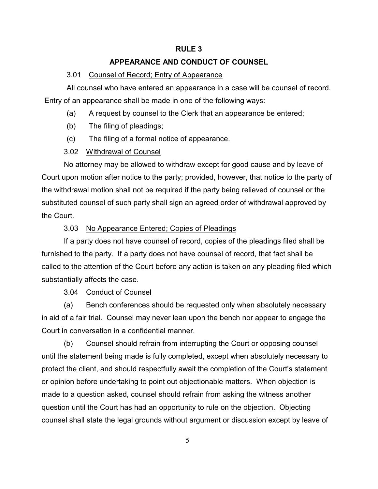## **RULE 3**

## **APPEARANCE AND CONDUCT OF COUNSEL**

#### 3.01 Counsel of Record; Entry of Appearance

All counsel who have entered an appearance in a case will be counsel of record. Entry of an appearance shall be made in one of the following ways:

- (a) A request by counsel to the Clerk that an appearance be entered;
- (b) The filing of pleadings;
- (c) The filing of a formal notice of appearance.

#### 3.02 Withdrawal of Counsel

No attorney may be allowed to withdraw except for good cause and by leave of Court upon motion after notice to the party; provided, however, that notice to the party of the withdrawal motion shall not be required if the party being relieved of counsel or the substituted counsel of such party shall sign an agreed order of withdrawal approved by the Court.

## 3.03 No Appearance Entered; Copies of Pleadings

If a party does not have counsel of record, copies of the pleadings filed shall be furnished to the party. If a party does not have counsel of record, that fact shall be called to the attention of the Court before any action is taken on any pleading filed which substantially affects the case.

3.04 Conduct of Counsel

(a) Bench conferences should be requested only when absolutely necessary in aid of a fair trial. Counsel may never lean upon the bench nor appear to engage the Court in conversation in a confidential manner.

(b) Counsel should refrain from interrupting the Court or opposing counsel until the statement being made is fully completed, except when absolutely necessary to protect the client, and should respectfully await the completion of the Court's statement or opinion before undertaking to point out objectionable matters. When objection is made to a question asked, counsel should refrain from asking the witness another question until the Court has had an opportunity to rule on the objection. Objecting counsel shall state the legal grounds without argument or discussion except by leave of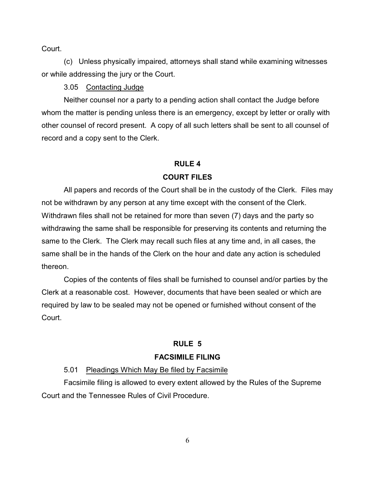Court.

(c) Unless physically impaired, attorneys shall stand while examining witnesses or while addressing the jury or the Court.

3.05 Contacting Judge

Neither counsel nor a party to a pending action shall contact the Judge before whom the matter is pending unless there is an emergency, except by letter or orally with other counsel of record present. A copy of all such letters shall be sent to all counsel of record and a copy sent to the Clerk.

## **RULE 4 COURT FILES**

All papers and records of the Court shall be in the custody of the Clerk. Files may not be withdrawn by any person at any time except with the consent of the Clerk. Withdrawn files shall not be retained for more than seven (7) days and the party so withdrawing the same shall be responsible for preserving its contents and returning the same to the Clerk. The Clerk may recall such files at any time and, in all cases, the same shall be in the hands of the Clerk on the hour and date any action is scheduled thereon.

Copies of the contents of files shall be furnished to counsel and/or parties by the Clerk at a reasonable cost. However, documents that have been sealed or which are required by law to be sealed may not be opened or furnished without consent of the Court.

## **RULE 5**

## **FACSIMILE FILING**

## 5.01 Pleadings Which May Be filed by Facsimile

Facsimile filing is allowed to every extent allowed by the Rules of the Supreme Court and the Tennessee Rules of Civil Procedure.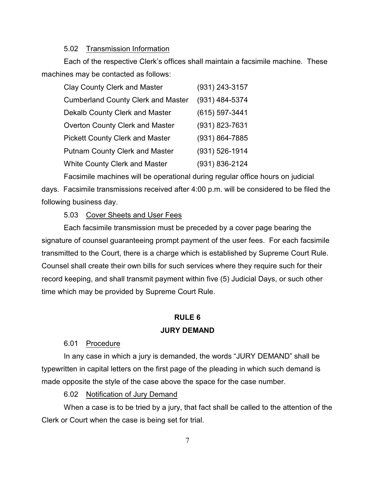### 5.02 Transmission Information

Each of the respective Clerk's offices shall maintain a facsimile machine. These machines may be contacted as follows:

| <b>Clay County Clerk and Master</b>       | $(931)$ 243-3157 |
|-------------------------------------------|------------------|
| <b>Cumberland County Clerk and Master</b> | (931) 484-5374   |
| Dekalb County Clerk and Master            | (615) 597-3441   |
| Overton County Clerk and Master           | (931) 823-7631   |
| <b>Pickett County Clerk and Master</b>    | (931) 864-7885   |
| <b>Putnam County Clerk and Master</b>     | (931) 526-1914   |
| White County Clerk and Master             | (931) 836-2124   |

Facsimile machines will be operational during regular office hours on judicial days. Facsimile transmissions received after 4:00 p.m. will be considered to be filed the following business day.

5.03 Cover Sheets and User Fees

Each facsimile transmission must be preceded by a cover page bearing the signature of counsel guaranteeing prompt payment of the user fees. For each facsimile transmitted to the Court, there is a charge which is established by Supreme Court Rule. Counsel shall create their own bills for such services where they require such for their record keeping, and shall transmit payment within five (5) Judicial Days, or such other time which may be provided by Supreme Court Rule.

## **RULE 6**

## **JURY DEMAND**

6.01 Procedure

In any case in which a jury is demanded, the words "JURY DEMAND" shall be typewritten in capital letters on the first page of the pleading in which such demand is made opposite the style of the case above the space for the case number.

6.02 Notification of Jury Demand

When a case is to be tried by a jury, that fact shall be called to the attention of the Clerk or Court when the case is being set for trial.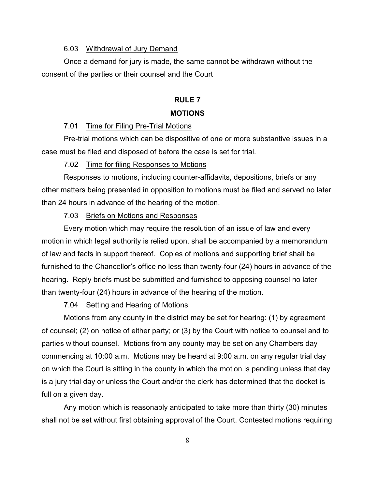### 6.03 Withdrawal of Jury Demand

Once a demand for jury is made, the same cannot be withdrawn without the consent of the parties or their counsel and the Court

## **RULE 7 MOTIONS**

### 7.01 Time for Filing Pre-Trial Motions

Pre-trial motions which can be dispositive of one or more substantive issues in a case must be filed and disposed of before the case is set for trial.

#### 7.02 Time for filing Responses to Motions

Responses to motions, including counter-affidavits, depositions, briefs or any other matters being presented in opposition to motions must be filed and served no later than 24 hours in advance of the hearing of the motion.

## 7.03 Briefs on Motions and Responses

Every motion which may require the resolution of an issue of law and every motion in which legal authority is relied upon, shall be accompanied by a memorandum of law and facts in support thereof. Copies of motions and supporting brief shall be furnished to the Chancellor's office no less than twenty-four (24) hours in advance of the hearing. Reply briefs must be submitted and furnished to opposing counsel no later than twenty-four (24) hours in advance of the hearing of the motion.

### 7.04 Setting and Hearing of Motions

Motions from any county in the district may be set for hearing: (1) by agreement of counsel; (2) on notice of either party; or (3) by the Court with notice to counsel and to parties without counsel. Motions from any county may be set on any Chambers day commencing at 10:00 a.m. Motions may be heard at 9:00 a.m. on any regular trial day on which the Court is sitting in the county in which the motion is pending unless that day is a jury trial day or unless the Court and/or the clerk has determined that the docket is full on a given day.

Any motion which is reasonably anticipated to take more than thirty (30) minutes shall not be set without first obtaining approval of the Court. Contested motions requiring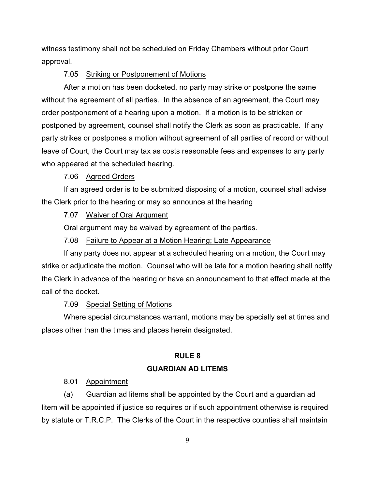witness testimony shall not be scheduled on Friday Chambers without prior Court approval.

#### 7.05 Striking or Postponement of Motions

After a motion has been docketed, no party may strike or postpone the same without the agreement of all parties. In the absence of an agreement, the Court may order postponement of a hearing upon a motion. If a motion is to be stricken or postponed by agreement, counsel shall notify the Clerk as soon as practicable. If any party strikes or postpones a motion without agreement of all parties of record or without leave of Court, the Court may tax as costs reasonable fees and expenses to any party who appeared at the scheduled hearing.

## 7.06 Agreed Orders

If an agreed order is to be submitted disposing of a motion, counsel shall advise the Clerk prior to the hearing or may so announce at the hearing

## 7.07 Waiver of Oral Argument

Oral argument may be waived by agreement of the parties.

## 7.08 Failure to Appear at a Motion Hearing; Late Appearance

If any party does not appear at a scheduled hearing on a motion, the Court may strike or adjudicate the motion. Counsel who will be late for a motion hearing shall notify the Clerk in advance of the hearing or have an announcement to that effect made at the call of the docket.

#### 7.09 Special Setting of Motions

Where special circumstances warrant, motions may be specially set at times and places other than the times and places herein designated.

## **RULE 8**

## **GUARDIAN AD LITEMS**

### 8.01 Appointment

(a) Guardian ad litems shall be appointed by the Court and a guardian ad litem will be appointed if justice so requires or if such appointment otherwise is required by statute or T.R.C.P. The Clerks of the Court in the respective counties shall maintain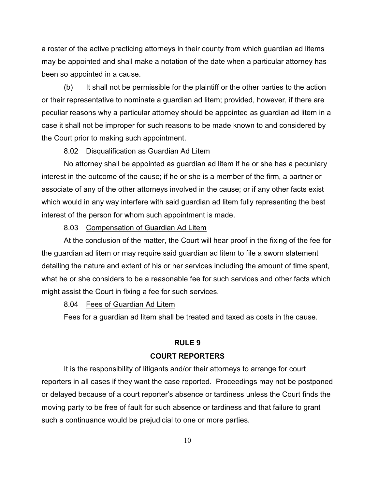a roster of the active practicing attorneys in their county from which guardian ad litems may be appointed and shall make a notation of the date when a particular attorney has been so appointed in a cause.

(b) It shall not be permissible for the plaintiff or the other parties to the action or their representative to nominate a guardian ad litem; provided, however, if there are peculiar reasons why a particular attorney should be appointed as guardian ad litem in a case it shall not be improper for such reasons to be made known to and considered by the Court prior to making such appointment.

#### 8.02 Disqualification as Guardian Ad Litem

No attorney shall be appointed as guardian ad litem if he or she has a pecuniary interest in the outcome of the cause; if he or she is a member of the firm, a partner or associate of any of the other attorneys involved in the cause; or if any other facts exist which would in any way interfere with said guardian ad litem fully representing the best interest of the person for whom such appointment is made.

#### 8.03 Compensation of Guardian Ad Litem

At the conclusion of the matter, the Court will hear proof in the fixing of the fee for the guardian ad litem or may require said guardian ad litem to file a sworn statement detailing the nature and extent of his or her services including the amount of time spent, what he or she considers to be a reasonable fee for such services and other facts which might assist the Court in fixing a fee for such services.

#### 8.04 Fees of Guardian Ad Litem

Fees for a guardian ad litem shall be treated and taxed as costs in the cause.

#### **RULE 9**

#### **COURT REPORTERS**

It is the responsibility of litigants and/or their attorneys to arrange for court reporters in all cases if they want the case reported. Proceedings may not be postponed or delayed because of a court reporter's absence or tardiness unless the Court finds the moving party to be free of fault for such absence or tardiness and that failure to grant such a continuance would be prejudicial to one or more parties.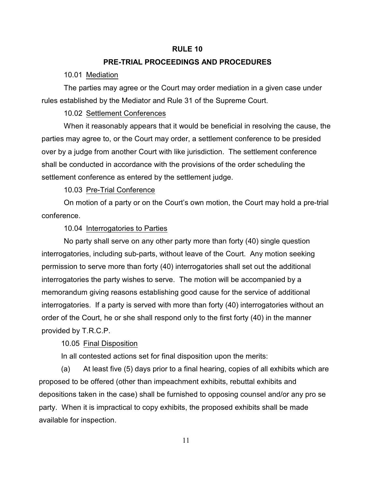#### **RULE 10**

## **PRE-TRIAL PROCEEDINGS AND PROCEDURES**

10.01 Mediation

The parties may agree or the Court may order mediation in a given case under rules established by the Mediator and Rule 31 of the Supreme Court.

10.02 Settlement Conferences

When it reasonably appears that it would be beneficial in resolving the cause, the parties may agree to, or the Court may order, a settlement conference to be presided over by a judge from another Court with like jurisdiction. The settlement conference shall be conducted in accordance with the provisions of the order scheduling the settlement conference as entered by the settlement judge.

10.03 Pre-Trial Conference

On motion of a party or on the Court's own motion, the Court may hold a pre-trial conference.

### 10.04 Interrogatories to Parties

No party shall serve on any other party more than forty (40) single question interrogatories, including sub-parts, without leave of the Court. Any motion seeking permission to serve more than forty (40) interrogatories shall set out the additional interrogatories the party wishes to serve. The motion will be accompanied by a memorandum giving reasons establishing good cause for the service of additional interrogatories. If a party is served with more than forty (40) interrogatories without an order of the Court, he or she shall respond only to the first forty (40) in the manner provided by T.R.C.P.

10.05 Final Disposition

In all contested actions set for final disposition upon the merits:

(a) At least five (5) days prior to a final hearing, copies of all exhibits which are proposed to be offered (other than impeachment exhibits, rebuttal exhibits and depositions taken in the case) shall be furnished to opposing counsel and/or any pro se party. When it is impractical to copy exhibits, the proposed exhibits shall be made available for inspection.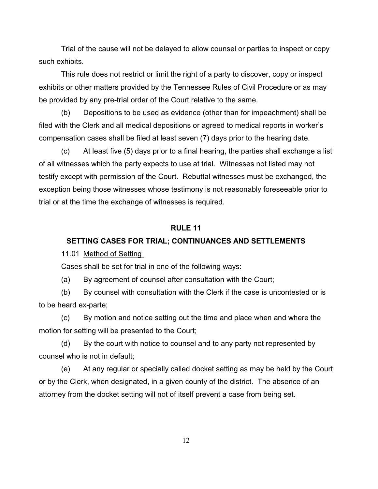Trial of the cause will not be delayed to allow counsel or parties to inspect or copy such exhibits.

This rule does not restrict or limit the right of a party to discover, copy or inspect exhibits or other matters provided by the Tennessee Rules of Civil Procedure or as may be provided by any pre-trial order of the Court relative to the same.

(b) Depositions to be used as evidence (other than for impeachment) shall be filed with the Clerk and all medical depositions or agreed to medical reports in worker's compensation cases shall be filed at least seven (7) days prior to the hearing date.

(c) At least five (5) days prior to a final hearing, the parties shall exchange a list of all witnesses which the party expects to use at trial. Witnesses not listed may not testify except with permission of the Court. Rebuttal witnesses must be exchanged, the exception being those witnesses whose testimony is not reasonably foreseeable prior to trial or at the time the exchange of witnesses is required.

## **RULE 11**

## **SETTING CASES FOR TRIAL; CONTINUANCES AND SETTLEMENTS**

11.01 Method of Setting

Cases shall be set for trial in one of the following ways:

(a) By agreement of counsel after consultation with the Court;

(b) By counsel with consultation with the Clerk if the case is uncontested or is to be heard ex-parte;

(c) By motion and notice setting out the time and place when and where the motion for setting will be presented to the Court;

(d) By the court with notice to counsel and to any party not represented by counsel who is not in default;

(e) At any regular or specially called docket setting as may be held by the Court or by the Clerk, when designated, in a given county of the district. The absence of an attorney from the docket setting will not of itself prevent a case from being set.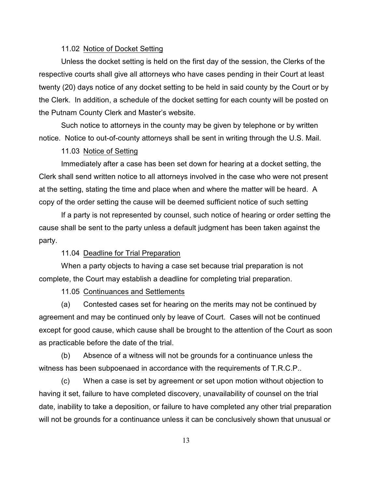### 11.02 Notice of Docket Setting

Unless the docket setting is held on the first day of the session, the Clerks of the respective courts shall give all attorneys who have cases pending in their Court at least twenty (20) days notice of any docket setting to be held in said county by the Court or by the Clerk. In addition, a schedule of the docket setting for each county will be posted on the Putnam County Clerk and Master's website.

Such notice to attorneys in the county may be given by telephone or by written notice. Notice to out-of-county attorneys shall be sent in writing through the U.S. Mail.

## 11.03 Notice of Setting

Immediately after a case has been set down for hearing at a docket setting, the Clerk shall send written notice to all attorneys involved in the case who were not present at the setting, stating the time and place when and where the matter will be heard. A copy of the order setting the cause will be deemed sufficient notice of such setting

If a party is not represented by counsel, such notice of hearing or order setting the cause shall be sent to the party unless a default judgment has been taken against the party.

#### 11.04 Deadline for Trial Preparation

When a party objects to having a case set because trial preparation is not complete, the Court may establish a deadline for completing trial preparation.

11.05 Continuances and Settlements

(a) Contested cases set for hearing on the merits may not be continued by agreement and may be continued only by leave of Court. Cases will not be continued except for good cause, which cause shall be brought to the attention of the Court as soon as practicable before the date of the trial.

(b) Absence of a witness will not be grounds for a continuance unless the witness has been subpoenaed in accordance with the requirements of T.R.C.P..

(c) When a case is set by agreement or set upon motion without objection to having it set, failure to have completed discovery, unavailability of counsel on the trial date, inability to take a deposition, or failure to have completed any other trial preparation will not be grounds for a continuance unless it can be conclusively shown that unusual or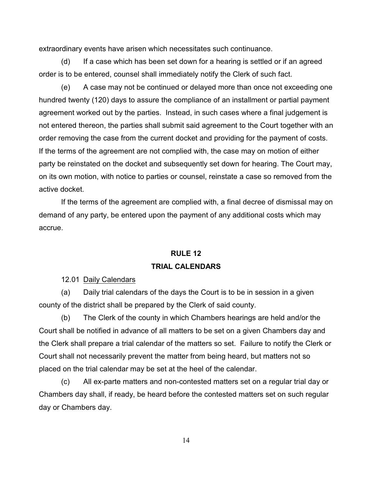extraordinary events have arisen which necessitates such continuance.

(d) If a case which has been set down for a hearing is settled or if an agreed order is to be entered, counsel shall immediately notify the Clerk of such fact.

(e) A case may not be continued or delayed more than once not exceeding one hundred twenty (120) days to assure the compliance of an installment or partial payment agreement worked out by the parties. Instead, in such cases where a final judgement is not entered thereon, the parties shall submit said agreement to the Court together with an order removing the case from the current docket and providing for the payment of costs. If the terms of the agreement are not complied with, the case may on motion of either party be reinstated on the docket and subsequently set down for hearing. The Court may, on its own motion, with notice to parties or counsel, reinstate a case so removed from the active docket.

If the terms of the agreement are complied with, a final decree of dismissal may on demand of any party, be entered upon the payment of any additional costs which may accrue.

# **RULE 12 TRIAL CALENDARS**

12.01 Daily Calendars

(a) Daily trial calendars of the days the Court is to be in session in a given county of the district shall be prepared by the Clerk of said county.

(b) The Clerk of the county in which Chambers hearings are held and/or the Court shall be notified in advance of all matters to be set on a given Chambers day and the Clerk shall prepare a trial calendar of the matters so set. Failure to notify the Clerk or Court shall not necessarily prevent the matter from being heard, but matters not so placed on the trial calendar may be set at the heel of the calendar.

(c) All ex-parte matters and non-contested matters set on a regular trial day or Chambers day shall, if ready, be heard before the contested matters set on such regular day or Chambers day.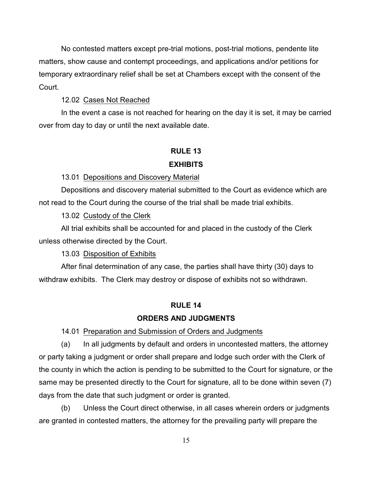No contested matters except pre-trial motions, post-trial motions, pendente lite matters, show cause and contempt proceedings, and applications and/or petitions for temporary extraordinary relief shall be set at Chambers except with the consent of the Court.

12.02 Cases Not Reached

In the event a case is not reached for hearing on the day it is set, it may be carried over from day to day or until the next available date.

# **RULE 13**

## **EXHIBITS**

## 13.01 Depositions and Discovery Material

Depositions and discovery material submitted to the Court as evidence which are not read to the Court during the course of the trial shall be made trial exhibits.

13.02 Custody of the Clerk

All trial exhibits shall be accounted for and placed in the custody of the Clerk unless otherwise directed by the Court.

13.03 Disposition of Exhibits

After final determination of any case, the parties shall have thirty (30) days to withdraw exhibits. The Clerk may destroy or dispose of exhibits not so withdrawn.

## **RULE 14**

#### **ORDERS AND JUDGMENTS**

14.01 Preparation and Submission of Orders and Judgments

(a) In all judgments by default and orders in uncontested matters, the attorney or party taking a judgment or order shall prepare and lodge such order with the Clerk of the county in which the action is pending to be submitted to the Court for signature, or the same may be presented directly to the Court for signature, all to be done within seven (7) days from the date that such judgment or order is granted.

(b) Unless the Court direct otherwise, in all cases wherein orders or judgments are granted in contested matters, the attorney for the prevailing party will prepare the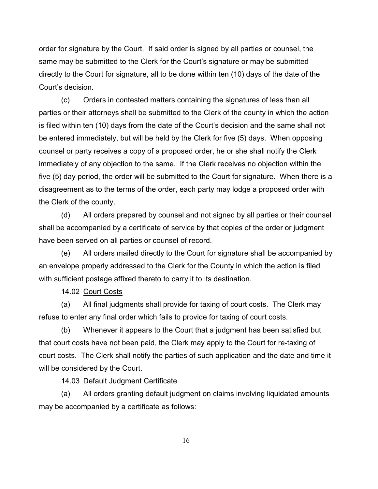order for signature by the Court. If said order is signed by all parties or counsel, the same may be submitted to the Clerk for the Court's signature or may be submitted directly to the Court for signature, all to be done within ten (10) days of the date of the Court's decision.

(c) Orders in contested matters containing the signatures of less than all parties or their attorneys shall be submitted to the Clerk of the county in which the action is filed within ten (10) days from the date of the Court's decision and the same shall not be entered immediately, but will be held by the Clerk for five (5) days. When opposing counsel or party receives a copy of a proposed order, he or she shall notify the Clerk immediately of any objection to the same. If the Clerk receives no objection within the five (5) day period, the order will be submitted to the Court for signature. When there is a disagreement as to the terms of the order, each party may lodge a proposed order with the Clerk of the county.

(d) All orders prepared by counsel and not signed by all parties or their counsel shall be accompanied by a certificate of service by that copies of the order or judgment have been served on all parties or counsel of record.

(e) All orders mailed directly to the Court for signature shall be accompanied by an envelope properly addressed to the Clerk for the County in which the action is filed with sufficient postage affixed thereto to carry it to its destination.

14.02 Court Costs

(a) All final judgments shall provide for taxing of court costs. The Clerk may refuse to enter any final order which fails to provide for taxing of court costs.

(b) Whenever it appears to the Court that a judgment has been satisfied but that court costs have not been paid, the Clerk may apply to the Court for re-taxing of court costs. The Clerk shall notify the parties of such application and the date and time it will be considered by the Court.

14.03 Default Judgment Certificate

(a) All orders granting default judgment on claims involving liquidated amounts may be accompanied by a certificate as follows:

16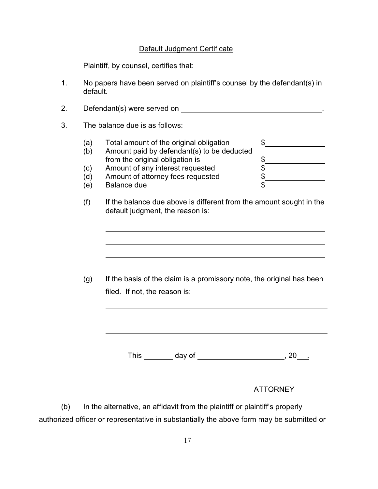## Default Judgment Certificate

Plaintiff, by counsel, certifies that:

- 1. No papers have been served on plaintiff's counsel by the defendant(s) in default.
- 2. Defendant(s) were served on .
- 3. The balance due is as follows:

l

l

l

l

- (a) Total amount of the original obligation  $\quad \$ (b) Amount paid by defendant(s) to be deducted from the original obligation is  $\frac{\$$ (c) Amount of any interest requested \$ (d) Amount of attorney fees requested  $\begin{array}{c} \text{ $s$} \ \text{ $s$} \ \text{ $s$} \ \text{ $s$} \end{array}$ (e) Balance due
- (f) If the balance due above is different from the amount sought in the default judgment, the reason is:

(g) If the basis of the claim is a promissory note, the original has been filed. If not, the reason is:

This \_\_\_\_\_\_\_ day of \_\_\_\_\_\_\_\_\_\_\_\_\_\_\_\_\_\_\_\_\_\_\_\_\_\_, 20\_\_\_\_

ATTORNEY

(b) In the alternative, an affidavit from the plaintiff or plaintiff's properly authorized officer or representative in substantially the above form may be submitted or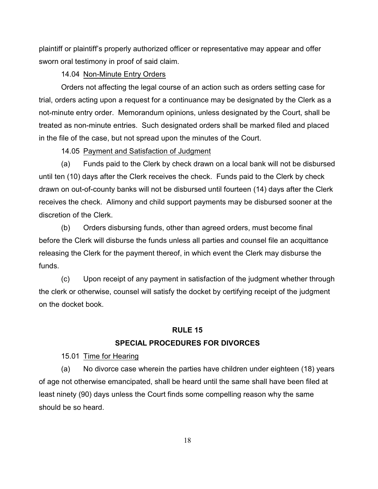plaintiff or plaintiff's properly authorized officer or representative may appear and offer sworn oral testimony in proof of said claim.

## 14.04 Non-Minute Entry Orders

Orders not affecting the legal course of an action such as orders setting case for trial, orders acting upon a request for a continuance may be designated by the Clerk as a not-minute entry order. Memorandum opinions, unless designated by the Court, shall be treated as non-minute entries. Such designated orders shall be marked filed and placed in the file of the case, but not spread upon the minutes of the Court.

## 14.05 Payment and Satisfaction of Judgment

(a) Funds paid to the Clerk by check drawn on a local bank will not be disbursed until ten (10) days after the Clerk receives the check. Funds paid to the Clerk by check drawn on out-of-county banks will not be disbursed until fourteen (14) days after the Clerk receives the check. Alimony and child support payments may be disbursed sooner at the discretion of the Clerk.

(b) Orders disbursing funds, other than agreed orders, must become final before the Clerk will disburse the funds unless all parties and counsel file an acquittance releasing the Clerk for the payment thereof, in which event the Clerk may disburse the funds.

(c) Upon receipt of any payment in satisfaction of the judgment whether through the clerk or otherwise, counsel will satisfy the docket by certifying receipt of the judgment on the docket book.

## **RULE 15**

## **SPECIAL PROCEDURES FOR DIVORCES**

15.01 Time for Hearing

(a) No divorce case wherein the parties have children under eighteen (18) years of age not otherwise emancipated, shall be heard until the same shall have been filed at least ninety (90) days unless the Court finds some compelling reason why the same should be so heard.

18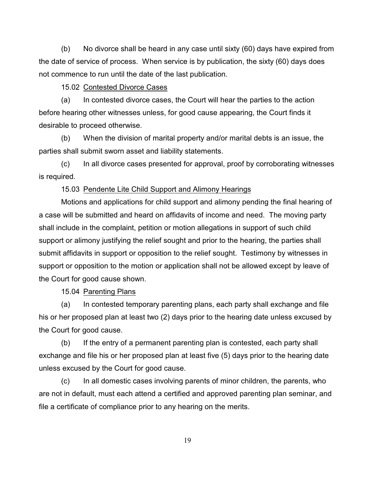(b) No divorce shall be heard in any case until sixty (60) days have expired from the date of service of process. When service is by publication, the sixty (60) days does not commence to run until the date of the last publication.

15.02 Contested Divorce Cases

(a) In contested divorce cases, the Court will hear the parties to the action before hearing other witnesses unless, for good cause appearing, the Court finds it desirable to proceed otherwise.

(b) When the division of marital property and/or marital debts is an issue, the parties shall submit sworn asset and liability statements.

(c) In all divorce cases presented for approval, proof by corroborating witnesses is required.

15.03 Pendente Lite Child Support and Alimony Hearings

Motions and applications for child support and alimony pending the final hearing of a case will be submitted and heard on affidavits of income and need. The moving party shall include in the complaint, petition or motion allegations in support of such child support or alimony justifying the relief sought and prior to the hearing, the parties shall submit affidavits in support or opposition to the relief sought. Testimony by witnesses in support or opposition to the motion or application shall not be allowed except by leave of the Court for good cause shown.

15.04 Parenting Plans

(a) In contested temporary parenting plans, each party shall exchange and file his or her proposed plan at least two (2) days prior to the hearing date unless excused by the Court for good cause.

(b) If the entry of a permanent parenting plan is contested, each party shall exchange and file his or her proposed plan at least five (5) days prior to the hearing date unless excused by the Court for good cause.

(c) In all domestic cases involving parents of minor children, the parents, who are not in default, must each attend a certified and approved parenting plan seminar, and file a certificate of compliance prior to any hearing on the merits.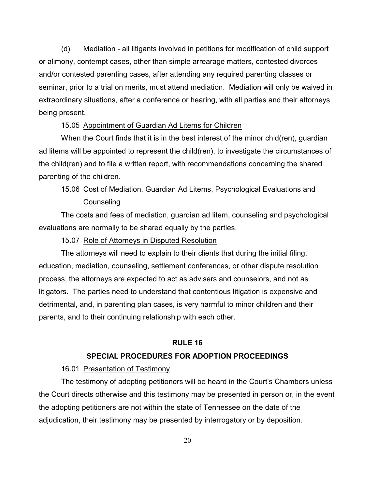(d) Mediation - all litigants involved in petitions for modification of child support or alimony, contempt cases, other than simple arrearage matters, contested divorces and/or contested parenting cases, after attending any required parenting classes or seminar, prior to a trial on merits, must attend mediation. Mediation will only be waived in extraordinary situations, after a conference or hearing, with all parties and their attorneys being present.

## 15.05 Appointment of Guardian Ad Litems for Children

When the Court finds that it is in the best interest of the minor chid(ren), guardian ad litems will be appointed to represent the child(ren), to investigate the circumstances of the child(ren) and to file a written report, with recommendations concerning the shared parenting of the children.

## 15.06 Cost of Mediation, Guardian Ad Litems, Psychological Evaluations and Counseling

The costs and fees of mediation, guardian ad litem, counseling and psychological evaluations are normally to be shared equally by the parties.

15.07 Role of Attorneys in Disputed Resolution

The attorneys will need to explain to their clients that during the initial filing, education, mediation, counseling, settlement conferences, or other dispute resolution process, the attorneys are expected to act as advisers and counselors, and not as litigators. The parties need to understand that contentious litigation is expensive and detrimental, and, in parenting plan cases, is very harmful to minor children and their parents, and to their continuing relationship with each other.

## **RULE 16**

#### **SPECIAL PROCEDURES FOR ADOPTION PROCEEDINGS**

#### 16.01 Presentation of Testimony

The testimony of adopting petitioners will be heard in the Court's Chambers unless the Court directs otherwise and this testimony may be presented in person or, in the event the adopting petitioners are not within the state of Tennessee on the date of the adjudication, their testimony may be presented by interrogatory or by deposition.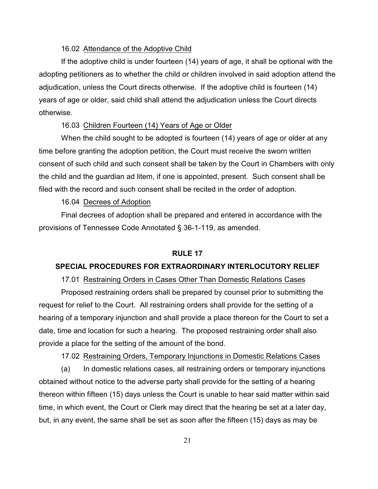## 16.02 Attendance of the Adoptive Child

If the adoptive child is under fourteen (14) years of age, it shall be optional with the adopting petitioners as to whether the child or children involved in said adoption attend the adjudication, unless the Court directs otherwise. If the adoptive child is fourteen (14) years of age or older, said child shall attend the adjudication unless the Court directs otherwise.

## 16.03 Children Fourteen (14) Years of Age or Older

When the child sought to be adopted is fourteen (14) years of age or older at any time before granting the adoption petition, the Court must receive the sworn written consent of such child and such consent shall be taken by the Court in Chambers with only the child and the guardian ad litem, if one is appointed, present. Such consent shall be filed with the record and such consent shall be recited in the order of adoption.

#### 16.04 Decrees of Adoption

Final decrees of adoption shall be prepared and entered in accordance with the provisions of Tennessee Code Annotated § 36-1-119, as amended.

## **RULE 17**

## **SPECIAL PROCEDURES FOR EXTRAORDINARY INTERLOCUTORY RELIEF**

## 17.01 Restraining Orders in Cases Other Than Domestic Relations Cases

Proposed restraining orders shall be prepared by counsel prior to submitting the request for relief to the Court. All restraining orders shall provide for the setting of a hearing of a temporary injunction and shall provide a place thereon for the Court to set a date, time and location for such a hearing. The proposed restraining order shall also provide a place for the setting of the amount of the bond.

## 17.02 Restraining Orders, Temporary Injunctions in Domestic Relations Cases

(a) In domestic relations cases, all restraining orders or temporary injunctions obtained without notice to the adverse party shall provide for the setting of a hearing thereon within fifteen (15) days unless the Court is unable to hear said matter within said time, in which event, the Court or Clerk may direct that the hearing be set at a later day, but, in any event, the same shall be set as soon after the fifteen (15) days as may be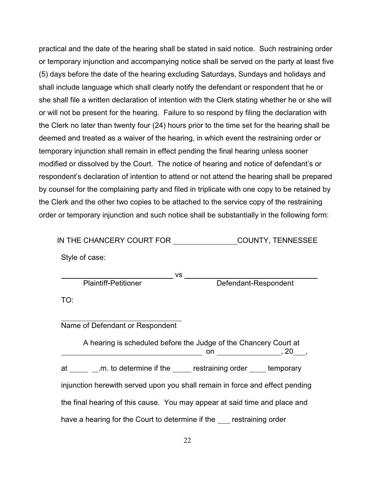practical and the date of the hearing shall be stated in said notice. Such restraining order or temporary injunction and accompanying notice shall be served on the party at least five (5) days before the date of the hearing excluding Saturdays, Sundays and holidays and shall include language which shall clearly notify the defendant or respondent that he or she shall file a written declaration of intention with the Clerk stating whether he or she will or will not be present for the hearing. Failure to so respond by filing the declaration with the Clerk no later than twenty four (24) hours prior to the time set for the hearing shall be deemed and treated as a waiver of the hearing, in which event the restraining order or temporary injunction shall remain in effect pending the final hearing unless sooner modified or dissolved by the Court. The notice of hearing and notice of defendant's or respondent's declaration of intention to attend or not attend the hearing shall be prepared by counsel for the complaining party and filed in triplicate with one copy to be retained by the Clerk and the other two copies to be attached to the service copy of the restraining order or temporary injunction and such notice shall be substantially in the following form:

| IN THE CHANCERY COURT FOR | <b>COUNTY, TENNESSEE</b> |
|---------------------------|--------------------------|
|                           |                          |

Style of case:

<u>vs vs. VS vs. VS vs. VS vs.</u>

Plaintiff-Petitioner **Defendant-Respondent** 

TO:

 Name of Defendant or Respondent

A hearing is scheduled before the Judge of the Chancery Court at on , 20 , at \_\_\_\_\_ \_.m. to determine if the \_\_\_\_\_ restraining order \_\_\_\_ temporary injunction herewith served upon you shall remain in force and effect pending the final hearing of this cause. You may appear at said time and place and have a hearing for the Court to determine if the restraining order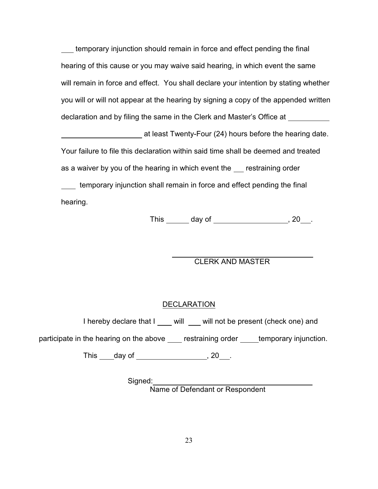temporary injunction should remain in force and effect pending the final hearing of this cause or you may waive said hearing, in which event the same will remain in force and effect. You shall declare your intention by stating whether you will or will not appear at the hearing by signing a copy of the appended written declaration and by filing the same in the Clerk and Master's Office at

 at least Twenty-Four (24) hours before the hearing date. Your failure to file this declaration within said time shall be deemed and treated as a waiver by you of the hearing in which event the restraining order temporary injunction shall remain in force and effect pending the final

hearing.

This  $\qquad \qquad$  day of  $\qquad \qquad$  , 20  $\qquad$  .

## CLERK AND MASTER

## **DECLARATION**

l

I hereby declare that I will will will not be present (check one) and

participate in the hearing on the above restraining order temporary injunction.

This  $\qquad$  day of  $\qquad \qquad$  , 20  $\qquad$  .

Signed:

Name of Defendant or Respondent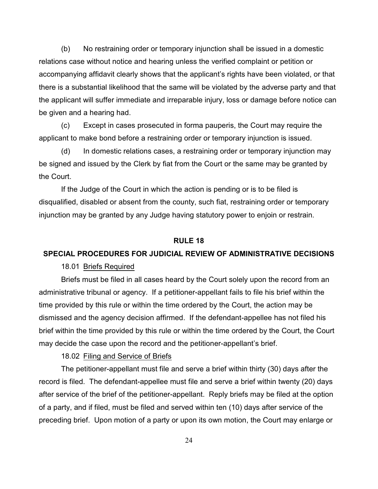(b) No restraining order or temporary injunction shall be issued in a domestic relations case without notice and hearing unless the verified complaint or petition or accompanying affidavit clearly shows that the applicant's rights have been violated, or that there is a substantial likelihood that the same will be violated by the adverse party and that the applicant will suffer immediate and irreparable injury, loss or damage before notice can be given and a hearing had.

(c) Except in cases prosecuted in forma pauperis, the Court may require the applicant to make bond before a restraining order or temporary injunction is issued.

(d) In domestic relations cases, a restraining order or temporary injunction may be signed and issued by the Clerk by fiat from the Court or the same may be granted by the Court.

If the Judge of the Court in which the action is pending or is to be filed is disqualified, disabled or absent from the county, such fiat, restraining order or temporary injunction may be granted by any Judge having statutory power to enjoin or restrain.

#### **RULE 18**

#### **SPECIAL PROCEDURES FOR JUDICIAL REVIEW OF ADMINISTRATIVE DECISIONS**

18.01 Briefs Required

Briefs must be filed in all cases heard by the Court solely upon the record from an administrative tribunal or agency. If a petitioner-appellant fails to file his brief within the time provided by this rule or within the time ordered by the Court, the action may be dismissed and the agency decision affirmed. If the defendant-appellee has not filed his brief within the time provided by this rule or within the time ordered by the Court, the Court may decide the case upon the record and the petitioner-appellant's brief.

## 18.02 Filing and Service of Briefs

The petitioner-appellant must file and serve a brief within thirty (30) days after the record is filed. The defendant-appellee must file and serve a brief within twenty (20) days after service of the brief of the petitioner-appellant. Reply briefs may be filed at the option of a party, and if filed, must be filed and served within ten (10) days after service of the preceding brief. Upon motion of a party or upon its own motion, the Court may enlarge or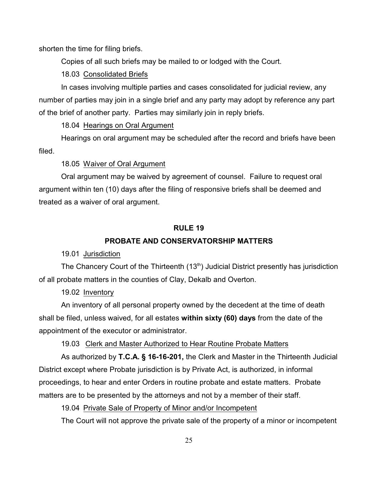shorten the time for filing briefs.

Copies of all such briefs may be mailed to or lodged with the Court.

18.03 Consolidated Briefs

In cases involving multiple parties and cases consolidated for judicial review, any number of parties may join in a single brief and any party may adopt by reference any part of the brief of another party. Parties may similarly join in reply briefs.

18.04 Hearings on Oral Argument

Hearings on oral argument may be scheduled after the record and briefs have been filed.

18.05 Waiver of Oral Argument

Oral argument may be waived by agreement of counsel. Failure to request oral argument within ten (10) days after the filing of responsive briefs shall be deemed and treated as a waiver of oral argument.

## **RULE 19**

## **PROBATE AND CONSERVATORSHIP MATTERS**

19.01 Jurisdiction

The Chancery Court of the Thirteenth  $(13<sup>th</sup>)$  Judicial District presently has jurisdiction of all probate matters in the counties of Clay, Dekalb and Overton.

19.02 Inventory

An inventory of all personal property owned by the decedent at the time of death shall be filed, unless waived, for all estates **within sixty (60) days** from the date of the appointment of the executor or administrator.

19.03 Clerk and Master Authorized to Hear Routine Probate Matters

As authorized by **T.C.A. § 16-16-201,** the Clerk and Master in the Thirteenth Judicial District except where Probate jurisdiction is by Private Act, is authorized, in informal proceedings, to hear and enter Orders in routine probate and estate matters. Probate matters are to be presented by the attorneys and not by a member of their staff.

19.04 Private Sale of Property of Minor and/or Incompetent

The Court will not approve the private sale of the property of a minor or incompetent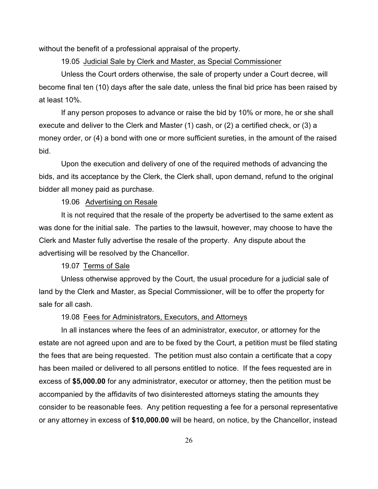without the benefit of a professional appraisal of the property.

#### 19.05 Judicial Sale by Clerk and Master, as Special Commissioner

Unless the Court orders otherwise, the sale of property under a Court decree, will become final ten (10) days after the sale date, unless the final bid price has been raised by at least 10%.

If any person proposes to advance or raise the bid by 10% or more, he or she shall execute and deliver to the Clerk and Master (1) cash, or (2) a certified check, or (3) a money order, or (4) a bond with one or more sufficient sureties, in the amount of the raised bid.

Upon the execution and delivery of one of the required methods of advancing the bids, and its acceptance by the Clerk, the Clerk shall, upon demand, refund to the original bidder all money paid as purchase.

#### 19.06 Advertising on Resale

It is not required that the resale of the property be advertised to the same extent as was done for the initial sale. The parties to the lawsuit, however, may choose to have the Clerk and Master fully advertise the resale of the property. Any dispute about the advertising will be resolved by the Chancellor.

#### 19.07 Terms of Sale

Unless otherwise approved by the Court, the usual procedure for a judicial sale of land by the Clerk and Master, as Special Commissioner, will be to offer the property for sale for all cash.

## 19.08 Fees for Administrators, Executors, and Attorneys

In all instances where the fees of an administrator, executor, or attorney for the estate are not agreed upon and are to be fixed by the Court, a petition must be filed stating the fees that are being requested. The petition must also contain a certificate that a copy has been mailed or delivered to all persons entitled to notice. If the fees requested are in excess of **\$5,000.00** for any administrator, executor or attorney, then the petition must be accompanied by the affidavits of two disinterested attorneys stating the amounts they consider to be reasonable fees. Any petition requesting a fee for a personal representative or any attorney in excess of **\$10,000.00** will be heard, on notice, by the Chancellor, instead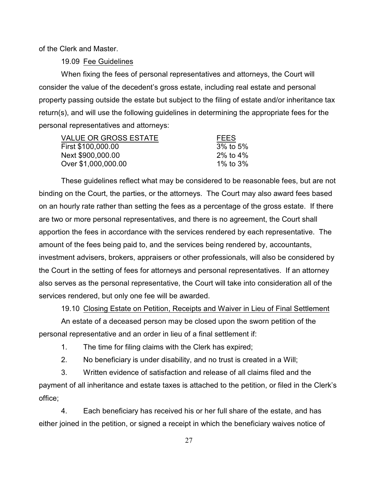of the Clerk and Master.

19.09 Fee Guidelines

When fixing the fees of personal representatives and attorneys, the Court will consider the value of the decedent's gross estate, including real estate and personal property passing outside the estate but subject to the filing of estate and/or inheritance tax return(s), and will use the following guidelines in determining the appropriate fees for the personal representatives and attorneys:

| <b>FEES</b>    |
|----------------|
| $3\%$ to $5\%$ |
| 2% to 4%       |
| 1% to $3\%$    |
|                |

These guidelines reflect what may be considered to be reasonable fees, but are not binding on the Court, the parties, or the attorneys. The Court may also award fees based on an hourly rate rather than setting the fees as a percentage of the gross estate. If there are two or more personal representatives, and there is no agreement, the Court shall apportion the fees in accordance with the services rendered by each representative. The amount of the fees being paid to, and the services being rendered by, accountants, investment advisers, brokers, appraisers or other professionals, will also be considered by the Court in the setting of fees for attorneys and personal representatives. If an attorney also serves as the personal representative, the Court will take into consideration all of the services rendered, but only one fee will be awarded.

19.10 Closing Estate on Petition, Receipts and Waiver in Lieu of Final Settlement

An estate of a deceased person may be closed upon the sworn petition of the personal representative and an order in lieu of a final settlement if:

- 1. The time for filing claims with the Clerk has expired;
- 2. No beneficiary is under disability, and no trust is created in a Will;

3. Written evidence of satisfaction and release of all claims filed and the payment of all inheritance and estate taxes is attached to the petition, or filed in the Clerk's office;

4. Each beneficiary has received his or her full share of the estate, and has either joined in the petition, or signed a receipt in which the beneficiary waives notice of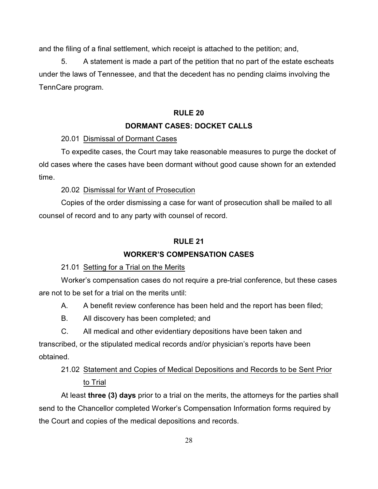and the filing of a final settlement, which receipt is attached to the petition; and,

5. A statement is made a part of the petition that no part of the estate escheats under the laws of Tennessee, and that the decedent has no pending claims involving the TennCare program.

## **RULE 20**

## **DORMANT CASES: DOCKET CALLS**

20.01 Dismissal of Dormant Cases

To expedite cases, the Court may take reasonable measures to purge the docket of old cases where the cases have been dormant without good cause shown for an extended time.

## 20.02 Dismissal for Want of Prosecution

Copies of the order dismissing a case for want of prosecution shall be mailed to all counsel of record and to any party with counsel of record.

## **RULE 21**

## **WORKER'S COMPENSATION CASES**

## 21.01 Setting for a Trial on the Merits

Worker's compensation cases do not require a pre-trial conference, but these cases are not to be set for a trial on the merits until:

- A. A benefit review conference has been held and the report has been filed;
- B. All discovery has been completed; and
- C. All medical and other evidentiary depositions have been taken and

transcribed, or the stipulated medical records and/or physician's reports have been obtained.

# 21.02 Statement and Copies of Medical Depositions and Records to be Sent Prior to Trial

At least **three (3) days** prior to a trial on the merits, the attorneys for the parties shall send to the Chancellor completed Worker's Compensation Information forms required by the Court and copies of the medical depositions and records.